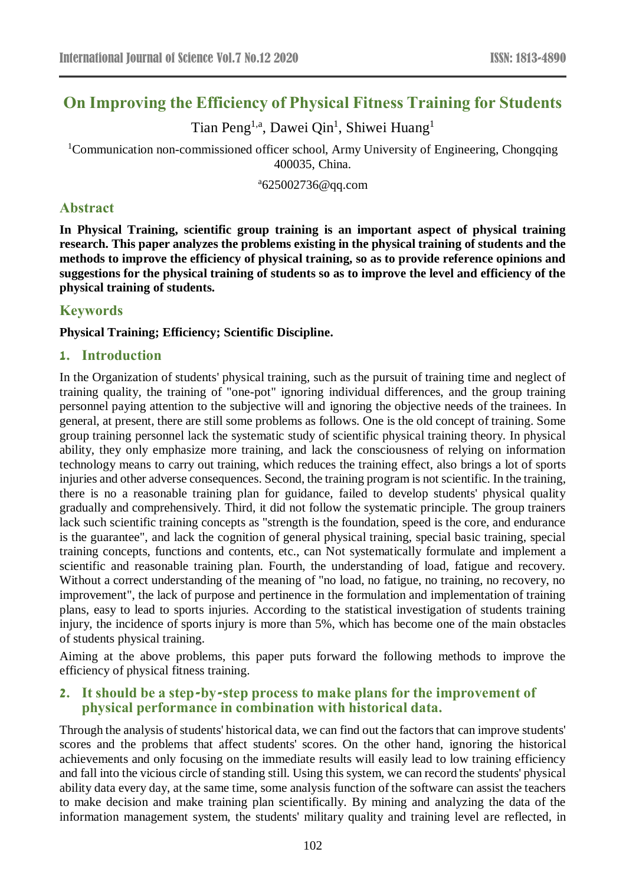# **On Improving the Efficiency of Physical Fitness Training for Students**

Tian Peng<sup>1,a</sup>, Dawei Qin<sup>1</sup>, Shiwei Huang<sup>1</sup>

<sup>1</sup>Communication non-commissioned officer school, Army University of Engineering, Chongqing 400035, China.

<sup>a</sup>625002736@qq.com

## **Abstract**

**In Physical Training, scientific group training is an important aspect of physical training research. This paper analyzes the problems existing in the physical training of students and the methods to improve the efficiency of physical training, so as to provide reference opinions and suggestions for the physical training of students so as to improve the level and efficiency of the physical training of students.**

## **Keywords**

#### **Physical Training; Efficiency; Scientific Discipline.**

## **1. Introduction**

In the Organization of students' physical training, such as the pursuit of training time and neglect of training quality, the training of "one-pot" ignoring individual differences, and the group training personnel paying attention to the subjective will and ignoring the objective needs of the trainees. In general, at present, there are still some problems as follows. One is the old concept of training. Some group training personnel lack the systematic study of scientific physical training theory. In physical ability, they only emphasize more training, and lack the consciousness of relying on information technology means to carry out training, which reduces the training effect, also brings a lot of sports injuries and other adverse consequences. Second, the training program is not scientific. In the training, there is no a reasonable training plan for guidance, failed to develop students' physical quality gradually and comprehensively. Third, it did not follow the systematic principle. The group trainers lack such scientific training concepts as "strength is the foundation, speed is the core, and endurance is the guarantee", and lack the cognition of general physical training, special basic training, special training concepts, functions and contents, etc., can Not systematically formulate and implement a scientific and reasonable training plan. Fourth, the understanding of load, fatigue and recovery. Without a correct understanding of the meaning of "no load, no fatigue, no training, no recovery, no improvement", the lack of purpose and pertinence in the formulation and implementation of training plans, easy to lead to sports injuries. According to the statistical investigation of students training injury, the incidence of sports injury is more than 5%, which has become one of the main obstacles of students physical training.

Aiming at the above problems, this paper puts forward the following methods to improve the efficiency of physical fitness training.

## **2. It should be a step-by-step process to make plans for the improvement of physical performance in combination with historical data.**

Through the analysis of students' historical data, we can find out the factors that can improve students' scores and the problems that affect students' scores. On the other hand, ignoring the historical achievements and only focusing on the immediate results will easily lead to low training efficiency and fall into the vicious circle of standing still. Using this system, we can record the students' physical ability data every day, at the same time, some analysis function of the software can assist the teachers to make decision and make training plan scientifically. By mining and analyzing the data of the information management system, the students' military quality and training level are reflected, in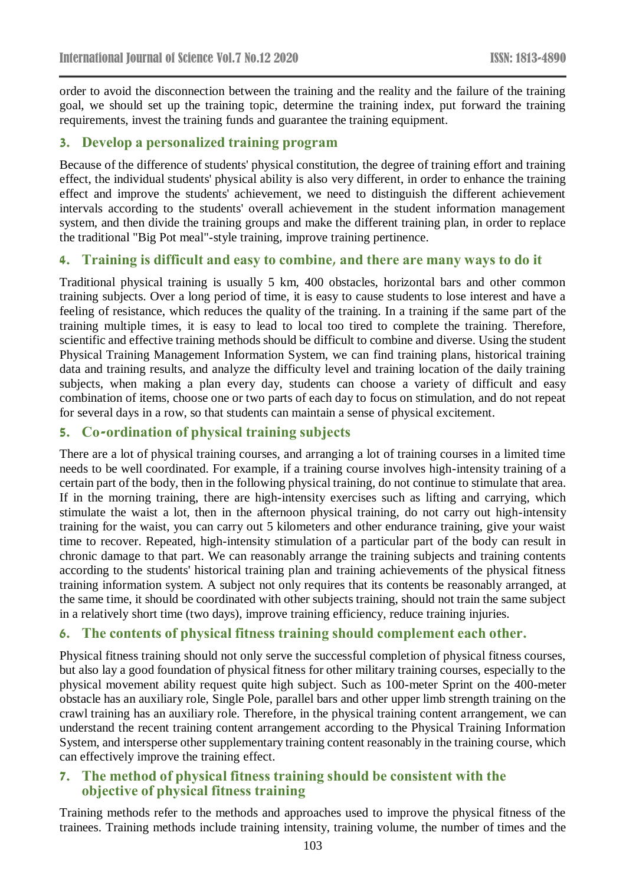order to avoid the disconnection between the training and the reality and the failure of the training goal, we should set up the training topic, determine the training index, put forward the training requirements, invest the training funds and guarantee the training equipment.

#### **3. Develop a personalized training program**

Because of the difference of students' physical constitution, the degree of training effort and training effect, the individual students' physical ability is also very different, in order to enhance the training effect and improve the students' achievement, we need to distinguish the different achievement intervals according to the students' overall achievement in the student information management system, and then divide the training groups and make the different training plan, in order to replace the traditional "Big Pot meal"-style training, improve training pertinence.

#### **4. Training is difficult and easy to combine, and there are many ways to do it**

Traditional physical training is usually 5 km, 400 obstacles, horizontal bars and other common training subjects. Over a long period of time, it is easy to cause students to lose interest and have a feeling of resistance, which reduces the quality of the training. In a training if the same part of the training multiple times, it is easy to lead to local too tired to complete the training. Therefore, scientific and effective training methods should be difficult to combine and diverse. Using the student Physical Training Management Information System, we can find training plans, historical training data and training results, and analyze the difficulty level and training location of the daily training subjects, when making a plan every day, students can choose a variety of difficult and easy combination of items, choose one or two parts of each day to focus on stimulation, and do not repeat for several days in a row, so that students can maintain a sense of physical excitement.

## **5. Co-ordination of physical training subjects**

There are a lot of physical training courses, and arranging a lot of training courses in a limited time needs to be well coordinated. For example, if a training course involves high-intensity training of a certain part of the body, then in the following physical training, do not continue to stimulate that area. If in the morning training, there are high-intensity exercises such as lifting and carrying, which stimulate the waist a lot, then in the afternoon physical training, do not carry out high-intensity training for the waist, you can carry out 5 kilometers and other endurance training, give your waist time to recover. Repeated, high-intensity stimulation of a particular part of the body can result in chronic damage to that part. We can reasonably arrange the training subjects and training contents according to the students' historical training plan and training achievements of the physical fitness training information system. A subject not only requires that its contents be reasonably arranged, at the same time, it should be coordinated with other subjects training, should not train the same subject in a relatively short time (two days), improve training efficiency, reduce training injuries.

## **6. The contents of physical fitness training should complement each other.**

Physical fitness training should not only serve the successful completion of physical fitness courses, but also lay a good foundation of physical fitness for other military training courses, especially to the physical movement ability request quite high subject. Such as 100-meter Sprint on the 400-meter obstacle has an auxiliary role, Single Pole, parallel bars and other upper limb strength training on the crawl training has an auxiliary role. Therefore, in the physical training content arrangement, we can understand the recent training content arrangement according to the Physical Training Information System, and intersperse other supplementary training content reasonably in the training course, which can effectively improve the training effect.

## **7. The method of physical fitness training should be consistent with the objective of physical fitness training**

Training methods refer to the methods and approaches used to improve the physical fitness of the trainees. Training methods include training intensity, training volume, the number of times and the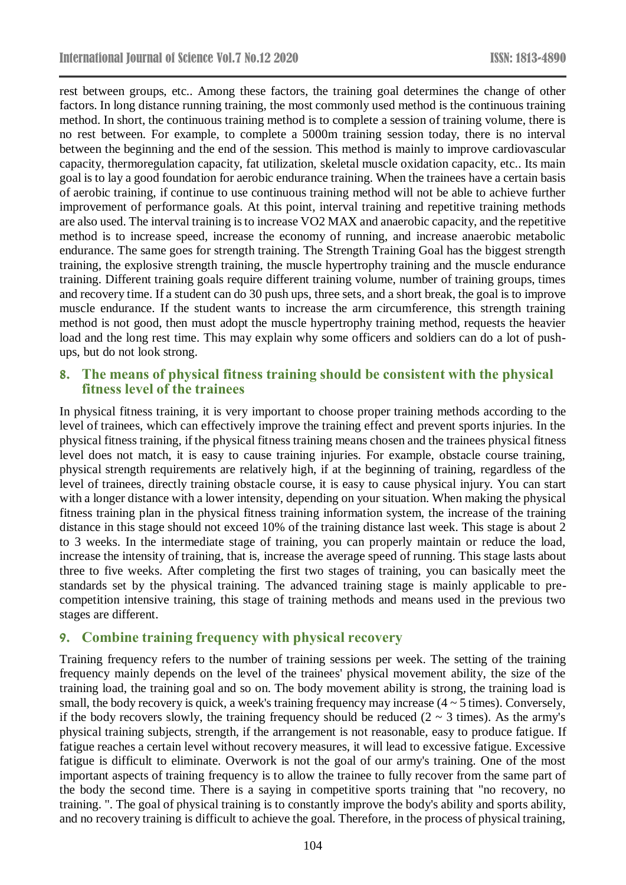rest between groups, etc.. Among these factors, the training goal determines the change of other factors. In long distance running training, the most commonly used method is the continuous training method. In short, the continuous training method is to complete a session of training volume, there is no rest between. For example, to complete a 5000m training session today, there is no interval between the beginning and the end of the session. This method is mainly to improve cardiovascular capacity, thermoregulation capacity, fat utilization, skeletal muscle oxidation capacity, etc.. Its main goal is to lay a good foundation for aerobic endurance training. When the trainees have a certain basis of aerobic training, if continue to use continuous training method will not be able to achieve further improvement of performance goals. At this point, interval training and repetitive training methods are also used. The interval training is to increase VO2 MAX and anaerobic capacity, and the repetitive method is to increase speed, increase the economy of running, and increase anaerobic metabolic endurance. The same goes for strength training. The Strength Training Goal has the biggest strength training, the explosive strength training, the muscle hypertrophy training and the muscle endurance training. Different training goals require different training volume, number of training groups, times and recovery time. If a student can do 30 push ups, three sets, and a short break, the goal is to improve muscle endurance. If the student wants to increase the arm circumference, this strength training method is not good, then must adopt the muscle hypertrophy training method, requests the heavier load and the long rest time. This may explain why some officers and soldiers can do a lot of pushups, but do not look strong.

## **8. The means of physical fitness training should be consistent with the physical fitness level of the trainees**

In physical fitness training, it is very important to choose proper training methods according to the level of trainees, which can effectively improve the training effect and prevent sports injuries. In the physical fitness training, if the physical fitness training means chosen and the trainees physical fitness level does not match, it is easy to cause training injuries. For example, obstacle course training, physical strength requirements are relatively high, if at the beginning of training, regardless of the level of trainees, directly training obstacle course, it is easy to cause physical injury. You can start with a longer distance with a lower intensity, depending on your situation. When making the physical fitness training plan in the physical fitness training information system, the increase of the training distance in this stage should not exceed 10% of the training distance last week. This stage is about 2 to 3 weeks. In the intermediate stage of training, you can properly maintain or reduce the load, increase the intensity of training, that is, increase the average speed of running. This stage lasts about three to five weeks. After completing the first two stages of training, you can basically meet the standards set by the physical training. The advanced training stage is mainly applicable to precompetition intensive training, this stage of training methods and means used in the previous two stages are different.

## **9. Combine training frequency with physical recovery**

Training frequency refers to the number of training sessions per week. The setting of the training frequency mainly depends on the level of the trainees' physical movement ability, the size of the training load, the training goal and so on. The body movement ability is strong, the training load is small, the body recovery is quick, a week's training frequency may increase  $(4 \sim 5 \text{ times})$ . Conversely, if the body recovers slowly, the training frequency should be reduced  $(2 \sim 3 \text{ times})$ . As the army's physical training subjects, strength, if the arrangement is not reasonable, easy to produce fatigue. If fatigue reaches a certain level without recovery measures, it will lead to excessive fatigue. Excessive fatigue is difficult to eliminate. Overwork is not the goal of our army's training. One of the most important aspects of training frequency is to allow the trainee to fully recover from the same part of the body the second time. There is a saying in competitive sports training that "no recovery, no training. ". The goal of physical training is to constantly improve the body's ability and sports ability, and no recovery training is difficult to achieve the goal. Therefore, in the process of physical training,